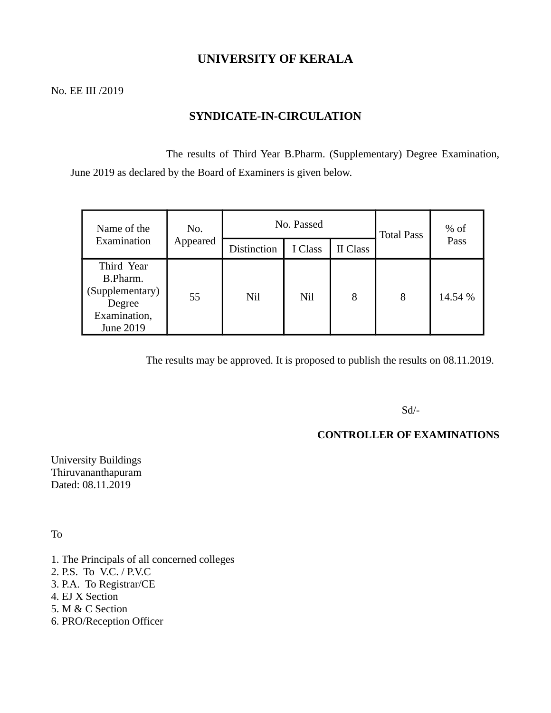# **UNIVERSITY OF KERALA**

No. EE III /2019

# **SYNDICATE-IN-CIRCULATION**

 The results of Third Year B.Pharm. (Supplementary) Degree Examination, June 2019 as declared by the Board of Examiners is given below.

| Name of the                                                                      | No.<br>Appeared | No. Passed         |         |          | <b>Total Pass</b> | $%$ of  |
|----------------------------------------------------------------------------------|-----------------|--------------------|---------|----------|-------------------|---------|
| Examination                                                                      |                 | <b>Distinction</b> | I Class | II Class |                   | Pass    |
| Third Year<br>B.Pharm.<br>(Supplementary)<br>Degree<br>Examination,<br>June 2019 | 55              | Nil                | Nil     | 8        | 8                 | 14.54 % |

The results may be approved. It is proposed to publish the results on 08.11.2019.

Sd/-

### **CONTROLLER OF EXAMINATIONS**

University Buildings Thiruvananthapuram Dated: 08.11.2019

To

- 1. The Principals of all concerned colleges
- 2. P.S. To V.C. / P.V.C
- 3. P.A. To Registrar/CE
- 4. EJ X Section
- 5. M & C Section
- 6. PRO/Reception Officer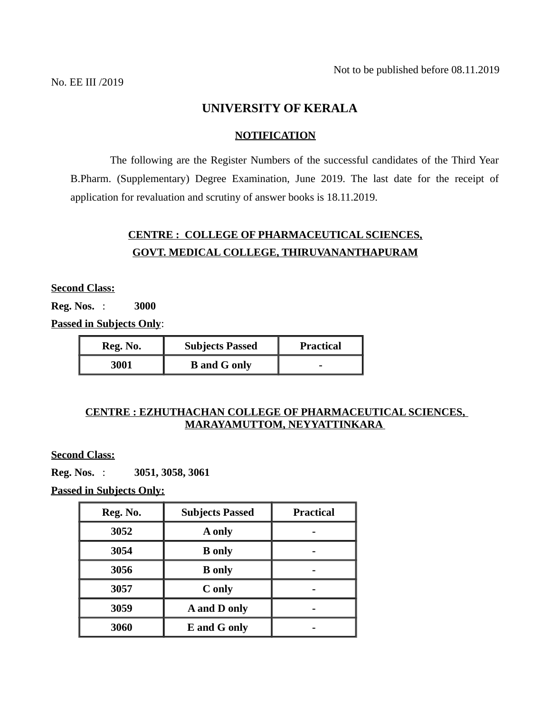## **UNIVERSITY OF KERALA**

#### **NOTIFICATION**

 The following are the Register Numbers of the successful candidates of the Third Year B.Pharm. (Supplementary) Degree Examination, June 2019. The last date for the receipt of application for revaluation and scrutiny of answer books is 18.11.2019.

# **CENTRE : COLLEGE OF PHARMACEUTICAL SCIENCES, GOVT. MEDICAL COLLEGE, THIRUVANANTHAPURAM**

**Second Class:**

**Reg. Nos.** : **3000**

**Passed in Subjects Only**:

| Reg. No. | <b>Subjects Passed</b> | Practical |  |
|----------|------------------------|-----------|--|
| 3001     | <b>B</b> and G only    | -         |  |

### **CENTRE : EZHUTHACHAN COLLEGE OF PHARMACEUTICAL SCIENCES, MARAYAMUTTOM, NEYYATTINKARA**

**Second Class:**

**Reg. Nos.** : **3051, 3058, 3061**

 **Passed in Subjects Only:**

| Reg. No. | <b>Subjects Passed</b> | <b>Practical</b> |  |
|----------|------------------------|------------------|--|
| 3052     | A only                 |                  |  |
| 3054     | <b>B</b> only          |                  |  |
| 3056     | <b>B</b> only          |                  |  |
| 3057     | C only                 |                  |  |
| 3059     | A and D only           |                  |  |
| 3060     | E and G only           |                  |  |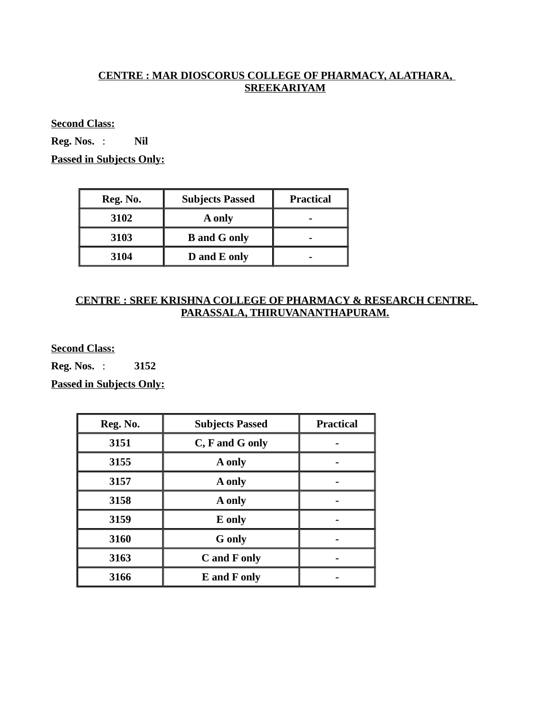## **CENTRE : MAR DIOSCORUS COLLEGE OF PHARMACY, ALATHARA, SREEKARIYAM**

**Second Class:**

**Reg. Nos.** : **Nil**

**Passed in Subjects Only:**

| Reg. No. | <b>Subjects Passed</b> | <b>Practical</b> |
|----------|------------------------|------------------|
| 3102     | A only                 |                  |
| 3103     | <b>B</b> and G only    |                  |
| 3104     | D and E only           |                  |

#### **CENTRE : SREE KRISHNA COLLEGE OF PHARMACY & RESEARCH CENTRE, PARASSALA, THIRUVANANTHAPURAM.**

**Second Class:**

**Reg. Nos.** : **3152**

**Passed in Subjects Only:** 

| Reg. No. | <b>Subjects Passed</b> | <b>Practical</b> |
|----------|------------------------|------------------|
| 3151     | C, F and G only        |                  |
| 3155     | A only                 |                  |
| 3157     | A only                 |                  |
| 3158     | A only                 |                  |
| 3159     | E only                 |                  |
| 3160     | <b>G</b> only          |                  |
| 3163     | C and F only           |                  |
| 3166     | E and F only           |                  |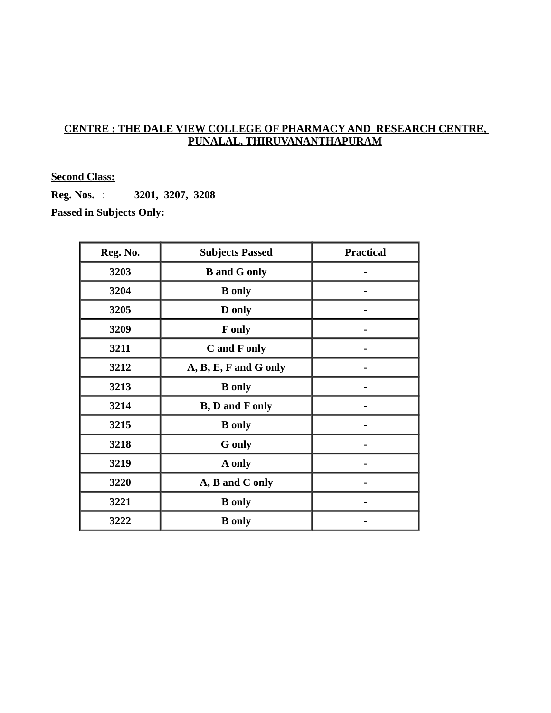## **CENTRE : THE DALE VIEW COLLEGE OF PHARMACY AND RESEARCH CENTRE, PUNALAL, THIRUVANANTHAPURAM**

#### **Second Class:**

**Reg. Nos.** : **3201, 3207, 3208 Passed in Subjects Only:**

| Reg. No. | <b>Subjects Passed</b>                | <b>Practical</b> |
|----------|---------------------------------------|------------------|
| 3203     | <b>B</b> and G only                   |                  |
| 3204     | <b>B</b> only                         |                  |
| 3205     | D only                                |                  |
| 3209     | F only                                |                  |
| 3211     | C and F only                          |                  |
| 3212     | A, B, E, F and G only                 |                  |
| 3213     | <b>B</b> only                         |                  |
| 3214     | <b>B</b> , <b>D</b> and <b>F</b> only |                  |
| 3215     | <b>B</b> only                         |                  |
| 3218     | <b>G</b> only                         |                  |
| 3219     | A only                                |                  |
| 3220     | A, B and C only                       |                  |
| 3221     | <b>B</b> only                         |                  |
| 3222     | <b>B</b> only                         |                  |